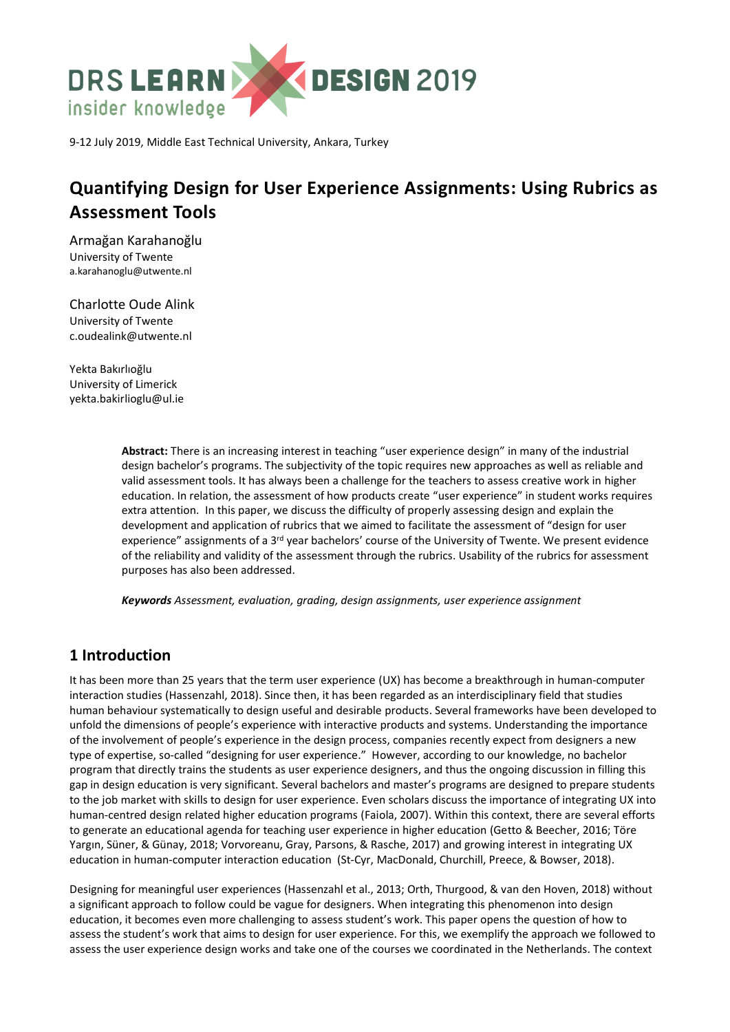

9-12 July 2019, Middle East Technical University, Ankara, Turkey

# **Quantifying Design for User Experience Assignments: Using Rubrics as Assessment Tools**

Armağan Karahanoğlu University of Twente [a.karahanoglu@utwente.nl](mailto:a.karahanoglu@utwente.nl)

Charlotte Oude Alink University of Twente [c.oudealink@utwente.nl](mailto:c.oudealink@utwente.nl)

Yekta Bakırlıoğlu University of Limerick yekta.bakirlioglu@ul.ie

> **Abstract:** There is an increasing interest in teaching "user experience design" in many of the industrial design bachelor's programs. The subjectivity of the topic requires new approaches as well as reliable and valid assessment tools. It has always been a challenge for the teachers to assess creative work in higher education. In relation, the assessment of how products create "user experience" in student works requires extra attention. In this paper, we discuss the difficulty of properly assessing design and explain the development and application of rubrics that we aimed to facilitate the assessment of "design for user experience" assignments of a 3<sup>rd</sup> year bachelors' course of the University of Twente. We present evidence of the reliability and validity of the assessment through the rubrics. Usability of the rubrics for assessment purposes has also been addressed.

*Keywords Assessment, evaluation, grading, design assignments, user experience assignment*

# **1 Introduction**

It has been more than 25 years that the term user experience (UX) has become a breakthrough in human-computer interaction studies (Hassenzahl, 2018). Since then, it has been regarded as an interdisciplinary field that studies human behaviour systematically to design useful and desirable products. Several frameworks have been developed to unfold the dimensions of people's experience with interactive products and systems. Understanding the importance of the involvement of people's experience in the design process, companies recently expect from designers a new type of expertise, so-called "designing for user experience." However, according to our knowledge, no bachelor program that directly trains the students as user experience designers, and thus the ongoing discussion in filling this gap in design education is very significant. Several bachelors and master's programs are designed to prepare students to the job market with skills to design for user experience. Even scholars discuss the importance of integrating UX into human-centred design related higher education programs (Faiola, 2007). Within this context, there are several efforts to generate an educational agenda for teaching user experience in higher education (Getto & Beecher, 2016; Töre Yargın, Süner, & Günay, 2018; Vorvoreanu, Gray, Parsons, & Rasche, 2017) and growing interest in integrating UX education in human-computer interaction education (St-Cyr, MacDonald, Churchill, Preece, & Bowser, 2018).

Designing for meaningful user experiences (Hassenzahl et al., 2013; Orth, Thurgood, & van den Hoven, 2018) without a significant approach to follow could be vague for designers. When integrating this phenomenon into design education, it becomes even more challenging to assess student's work. This paper opens the question of how to assess the student's work that aims to design for user experience. For this, we exemplify the approach we followed to assess the user experience design works and take one of the courses we coordinated in the Netherlands. The context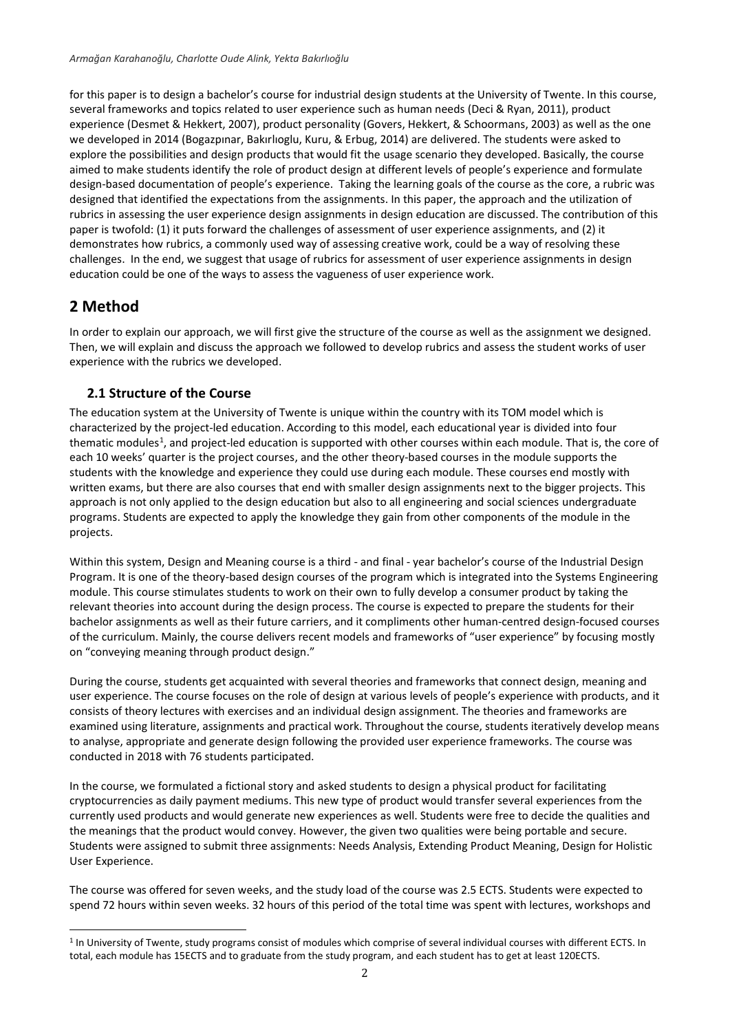for this paper is to design a bachelor's course for industrial design students at the University of Twente. In this course, several frameworks and topics related to user experience such as human needs (Deci & Ryan, 2011), product experience (Desmet & Hekkert, 2007), product personality (Govers, Hekkert, & Schoormans, 2003) as well as the one we developed in 2014 (Bogazpınar, Bakırlıoglu, Kuru, & Erbug, 2014) are delivered. The students were asked to explore the possibilities and design products that would fit the usage scenario they developed. Basically, the course aimed to make students identify the role of product design at different levels of people's experience and formulate design-based documentation of people's experience. Taking the learning goals of the course as the core, a rubric was designed that identified the expectations from the assignments. In this paper, the approach and the utilization of rubrics in assessing the user experience design assignments in design education are discussed. The contribution of this paper is twofold: (1) it puts forward the challenges of assessment of user experience assignments, and (2) it demonstrates how rubrics, a commonly used way of assessing creative work, could be a way of resolving these challenges. In the end, we suggest that usage of rubrics for assessment of user experience assignments in design education could be one of the ways to assess the vagueness of user experience work.

# **2 Method**

l

In order to explain our approach, we will first give the structure of the course as well as the assignment we designed. Then, we will explain and discuss the approach we followed to develop rubrics and assess the student works of user experience with the rubrics we developed.

## **2.1 Structure of the Course**

The education system at the University of Twente is unique within the country with its TOM model which is characterized by the project-led education. According to this model, each educational year is divided into four thematic modules<sup>1</sup>, and project-led education is supported with other courses within each module. That is, the core of each 10 weeks' quarter is the project courses, and the other theory-based courses in the module supports the students with the knowledge and experience they could use during each module. These courses end mostly with written exams, but there are also courses that end with smaller design assignments next to the bigger projects. This approach is not only applied to the design education but also to all engineering and social sciences undergraduate programs. Students are expected to apply the knowledge they gain from other components of the module in the projects.

Within this system, Design and Meaning course is a third - and final - year bachelor's course of the Industrial Design Program. It is one of the theory-based design courses of the program which is integrated into the Systems Engineering module. This course stimulates students to work on their own to fully develop a consumer product by taking the relevant theories into account during the design process. The course is expected to prepare the students for their bachelor assignments as well as their future carriers, and it compliments other human-centred design-focused courses of the curriculum. Mainly, the course delivers recent models and frameworks of "user experience" by focusing mostly on "conveying meaning through product design."

During the course, students get acquainted with several theories and frameworks that connect design, meaning and user experience. The course focuses on the role of design at various levels of people's experience with products, and it consists of theory lectures with exercises and an individual design assignment. The theories and frameworks are examined using literature, assignments and practical work. Throughout the course, students iteratively develop means to analyse, appropriate and generate design following the provided user experience frameworks. The course was conducted in 2018 with 76 students participated.

In the course, we formulated a fictional story and asked students to design a physical product for facilitating cryptocurrencies as daily payment mediums. This new type of product would transfer several experiences from the currently used products and would generate new experiences as well. Students were free to decide the qualities and the meanings that the product would convey. However, the given two qualities were being portable and secure. Students were assigned to submit three assignments: Needs Analysis, Extending Product Meaning, Design for Holistic User Experience.

The course was offered for seven weeks, and the study load of the course was 2.5 ECTS. Students were expected to spend 72 hours within seven weeks. 32 hours of this period of the total time was spent with lectures, workshops and

<sup>&</sup>lt;sup>1</sup> In University of Twente, study programs consist of modules which comprise of several individual courses with different ECTS. In total, each module has 15ECTS and to graduate from the study program, and each student has to get at least 120ECTS.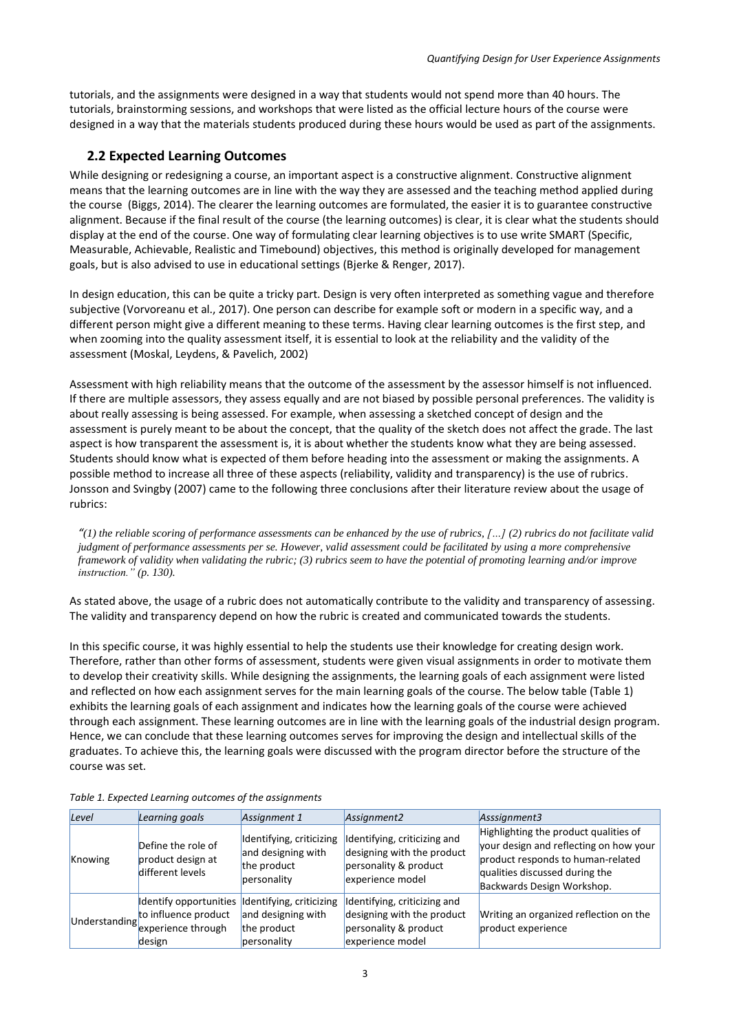tutorials, and the assignments were designed in a way that students would not spend more than 40 hours. The tutorials, brainstorming sessions, and workshops that were listed as the official lecture hours of the course were designed in a way that the materials students produced during these hours would be used as part of the assignments.

### **2.2 Expected Learning Outcomes**

While designing or redesigning a course, an important aspect is a constructive alignment. Constructive alignment means that the learning outcomes are in line with the way they are assessed and the teaching method applied during the course (Biggs, 2014). The clearer the learning outcomes are formulated, the easier it is to guarantee constructive alignment. Because if the final result of the course (the learning outcomes) is clear, it is clear what the students should display at the end of the course. One way of formulating clear learning objectives is to use write SMART (Specific, Measurable, Achievable, Realistic and Timebound) objectives, this method is originally developed for management goals, but is also advised to use in educational settings (Bjerke & Renger, 2017).

In design education, this can be quite a tricky part. Design is very often interpreted as something vague and therefore subjective (Vorvoreanu et al., 2017). One person can describe for example soft or modern in a specific way, and a different person might give a different meaning to these terms. Having clear learning outcomes is the first step, and when zooming into the quality assessment itself, it is essential to look at the reliability and the validity of the assessment (Moskal, Leydens, & Pavelich, 2002)

Assessment with high reliability means that the outcome of the assessment by the assessor himself is not influenced. If there are multiple assessors, they assess equally and are not biased by possible personal preferences. The validity is about really assessing is being assessed. For example, when assessing a sketched concept of design and the assessment is purely meant to be about the concept, that the quality of the sketch does not affect the grade. The last aspect is how transparent the assessment is, it is about whether the students know what they are being assessed. Students should know what is expected of them before heading into the assessment or making the assignments. A possible method to increase all three of these aspects (reliability, validity and transparency) is the use of rubrics. Jonsson and Svingby (2007) came to the following three conclusions after their literature review about the usage of rubrics:

*"(1) the reliable scoring of performance assessments can be enhanced by the use of rubrics, […] (2) rubrics do not facilitate valid judgment of performance assessments per se. However, valid assessment could be facilitated by using a more comprehensive framework of validity when validating the rubric; (3) rubrics seem to have the potential of promoting learning and/or improve instruction." (p. 130).* 

As stated above, the usage of a rubric does not automatically contribute to the validity and transparency of assessing. The validity and transparency depend on how the rubric is created and communicated towards the students.

In this specific course, it was highly essential to help the students use their knowledge for creating design work. Therefore, rather than other forms of assessment, students were given visual assignments in order to motivate them to develop their creativity skills. While designing the assignments, the learning goals of each assignment were listed and reflected on how each assignment serves for the main learning goals of the course. The below table [\(Table 1\)](#page-2-0) exhibits the learning goals of each assignment and indicates how the learning goals of the course were achieved through each assignment. These learning outcomes are in line with the learning goals of the industrial design program. Hence, we can conclude that these learning outcomes serves for improving the design and intellectual skills of the graduates. To achieve this, the learning goals were discussed with the program director before the structure of the course was set.

| Level   | Learning goals                                                                                                                      | Assignment 1                                                                 | Assignment <sub>2</sub>                                                                                 | Asssignment3                                                                                                                                                                         |
|---------|-------------------------------------------------------------------------------------------------------------------------------------|------------------------------------------------------------------------------|---------------------------------------------------------------------------------------------------------|--------------------------------------------------------------------------------------------------------------------------------------------------------------------------------------|
| Knowing | Define the role of<br>product design at<br>different levels                                                                         | Identifying, criticizing<br>and designing with<br>the product<br>personality | Identifying, criticizing and<br>designing with the product<br>personality & product<br>experience model | Highlighting the product qualities of<br>your design and reflecting on how your<br>product responds to human-related<br>qualities discussed during the<br>Backwards Design Workshop. |
|         | Identify opportunities Identifying, criticizing<br>Understanding to influence product<br>Understanding experience through<br>design | and designing with<br>the product<br>personality                             | Identifying, criticizing and<br>designing with the product<br>personality & product<br>experience model | Writing an organized reflection on the<br>product experience                                                                                                                         |

<span id="page-2-0"></span>*Table 1. Expected Learning outcomes of the assignments*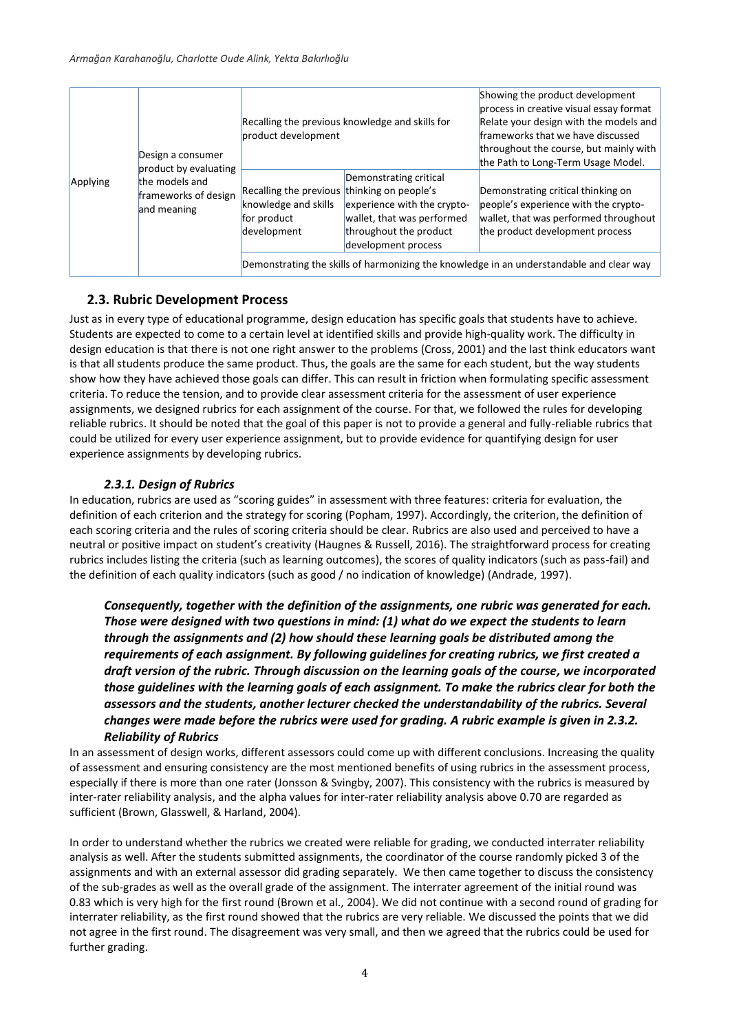|          | Design a consumer<br>product by evaluating            | product development                                                                               | Recalling the previous knowledge and skills for                                                                                      | Showing the product development<br>process in creative visual essay format<br>Relate your design with the models and<br>frameworks that we have discussed<br>throughout the course, but mainly with<br>the Path to Long-Term Usage Model.          |
|----------|-------------------------------------------------------|---------------------------------------------------------------------------------------------------|--------------------------------------------------------------------------------------------------------------------------------------|----------------------------------------------------------------------------------------------------------------------------------------------------------------------------------------------------------------------------------------------------|
| Applying | the models and<br>frameworks of design<br>and meaning | Recalling the previous thinking on people's<br>knowledge and skills<br>for product<br>development | Demonstrating critical<br>experience with the crypto-<br>wallet, that was performed<br>throughout the product<br>development process | Demonstrating critical thinking on<br>people's experience with the crypto-<br>wallet, that was performed throughout<br>the product development process<br>Demonstrating the skills of harmonizing the knowledge in an understandable and clear way |

### **2.3. Rubric Development Process**

Just as in every type of educational programme, design education has specific goals that students have to achieve. Students are expected to come to a certain level at identified skills and provide high-quality work. The difficulty in design education is that there is not one right answer to the problems (Cross, 2001) and the last think educators want is that all students produce the same product. Thus, the goals are the same for each student, but the way students show how they have achieved those goals can differ. This can result in friction when formulating specific assessment criteria. To reduce the tension, and to provide clear assessment criteria for the assessment of user experience assignments, we designed rubrics for each assignment of the course. For that, we followed the rules for developing reliable rubrics. It should be noted that the goal of this paper is not to provide a general and fully-reliable rubrics that could be utilized for every user experience assignment, but to provide evidence for quantifying design for user experience assignments by developing rubrics.

### *2.3.1. Design of Rubrics*

In education, rubrics are used as "scoring guides" in assessment with three features: criteria for evaluation, the definition of each criterion and the strategy for scoring (Popham, 1997). Accordingly, the criterion, the definition of each scoring criteria and the rules of scoring criteria should be clear. Rubrics are also used and perceived to have a neutral or positive impact on student's creativity (Haugnes & Russell, 2016). The straightforward process for creating rubrics includes listing the criteria (such as learning outcomes), the scores of quality indicators (such as pass-fail) and the definition of each quality indicators (such as good / no indication of knowledge) (Andrade, 1997).

*Consequently, together with the definition of the assignments, one rubric was generated for each. Those were designed with two questions in mind: (1) what do we expect the students to learn through the assignments and (2) how should these learning goals be distributed among the requirements of each assignment. By following guidelines for creating rubrics, we first created a draft version of the rubric. Through discussion on the learning goals of the course, we incorporated those guidelines with the learning goals of each assignment. To make the rubrics clear for both the assessors and the students, another lecturer checked the understandability of the rubrics. Several changes were made before the rubrics were used for grading. A rubric example is given in [2.3.2.](#page-4-0)  [Reliability of](#page-4-0) Rubrics*

[In an assessment of design works, different assessors could come up with different conclusions. Increasing the quality](#page-4-0)  [of assessment and ensuring consistency are the most mentioned benefits of using rubrics in the assessment process,](#page-4-0)  especially if there is more than one rater [\(Jonsson & Svingby, 2007\). This consistency with the rubrics is measured by](#page-4-0)  [inter-rater reliability analysis, and the alpha values for inter-rater reliability analysis above 0.70 are regarded as](#page-4-0)  sufficient [\(Brown, Glasswell, & Harland, 2004\).](#page-4-0)

[In order to understand whether the rubrics we created were](#page-4-0) reliable for grading, we conducted interrater reliability analysis [as well. After the students submitted assignments, the coordinator](#page-4-0) of the course randomly picked 3 of the assignments and [with an external assessor did grading separately. We then came together to discuss the consistency](#page-4-0)  [of the sub-grades as well as the overall grade of the assignment. The interrater agreement of the initial round was](#page-4-0)  0.83 which is very high for the first round [\(Brown et al., 2004\). We did not continue with a second round of grading for](#page-4-0)  [interrater reliability, as the first round showed that the rubrics are very reliable. We discussed the points that we did](#page-4-0)  not agree in [the first round. The disagreement was very small, and then we agreed that the rubrics could be used for](#page-4-0)  [further grading.](#page-4-0)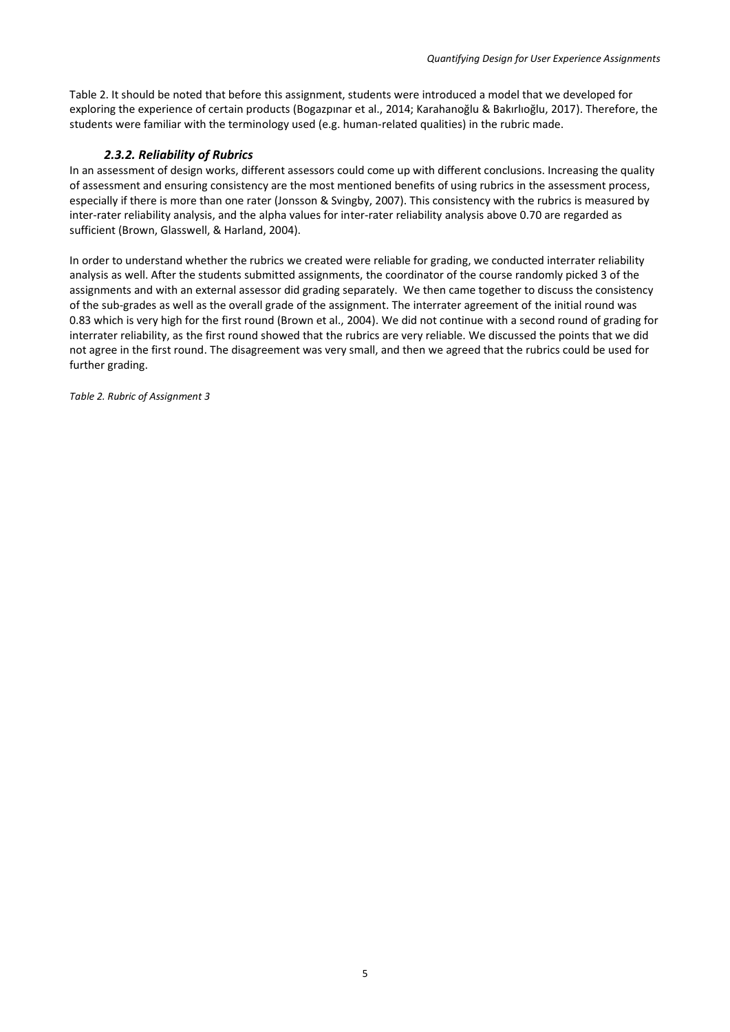[Table 2.](#page-4-0) It should be noted that before this assignment, students were introduced a model that we developed for exploring the experience of certain products (Bogazpınar et al., 2014; Karahanoğlu & Bakırlıoğlu, 2017). Therefore, the students were familiar with the terminology used (e.g. human-related qualities) in the rubric made.

#### *2.3.2. Reliability of Rubrics*

<span id="page-4-0"></span>In an assessment of design works, different assessors could come up with different conclusions. Increasing the quality of assessment and ensuring consistency are the most mentioned benefits of using rubrics in the assessment process, especially if there is more than one rater (Jonsson & Svingby, 2007). This consistency with the rubrics is measured by inter-rater reliability analysis, and the alpha values for inter-rater reliability analysis above 0.70 are regarded as sufficient (Brown, Glasswell, & Harland, 2004).

In order to understand whether the rubrics we created were reliable for grading, we conducted interrater reliability analysis as well. After the students submitted assignments, the coordinator of the course randomly picked 3 of the assignments and with an external assessor did grading separately. We then came together to discuss the consistency of the sub-grades as well as the overall grade of the assignment. The interrater agreement of the initial round was 0.83 which is very high for the first round (Brown et al., 2004). We did not continue with a second round of grading for interrater reliability, as the first round showed that the rubrics are very reliable. We discussed the points that we did not agree in the first round. The disagreement was very small, and then we agreed that the rubrics could be used for further grading.

*Table 2. Rubric of Assignment 3*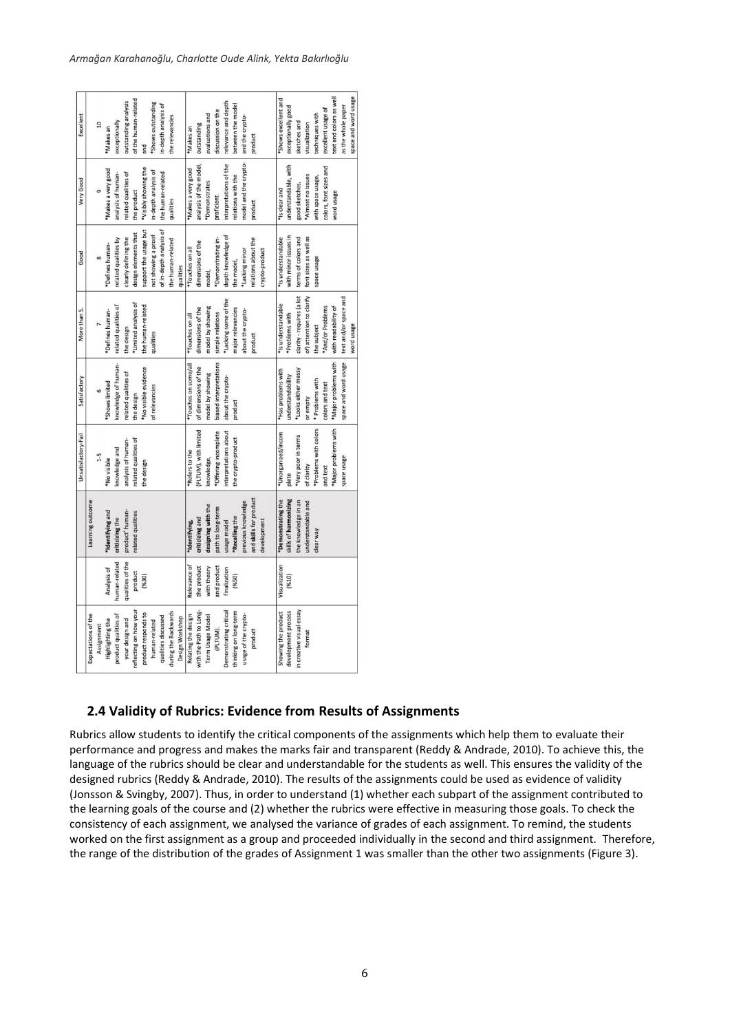|                          |                  |                        | Unsatisfactory-Fail   | Satisfactory           | More than S.              | Good                    | Very Good              | Excellent               |
|--------------------------|------------------|------------------------|-----------------------|------------------------|---------------------------|-------------------------|------------------------|-------------------------|
| Expectations of the      |                  | Learning outcome       |                       |                        |                           |                         |                        |                         |
| Assignment               |                  |                        | $1-5$                 | 6                      |                           | 8                       | o                      | $\overline{10}$         |
| Highlighting the         | Analysis of      | "Identifying and       | *No visible           | "Shows limited         | *Defines human            | *Defines human-         | "Makes a very good     | *Makes an               |
| product qualities of     | human-related    | criticizing the        | mowledge and          | mowledge of human-     | related qualities of      | related qualities by    | analysis of human-     | exceptionally           |
| your design and          | qualities of the | product' human-        | analysis of human-    | related qualities of   | the design                | clearly defining the    | related qualities of   | outstanding analysis    |
| reflecting on how your   | product          | elated qualities       | related qualities of  | the design             | *Limited analysis of      | design elements that    | the product            | of the human-related    |
| product responds to      | (9630)           |                        | the design            | *No visible evidence   | the human-related         | support the usage but   | "Visibly showing the   | and                     |
| human-related            |                  |                        |                       | of relevancies         | qualities                 | not showing a proof     | in-depth analysis of   | *Shows outstanding      |
| qualities discussed      |                  |                        |                       |                        |                           | of in-depth analysis of | the human-related      | in-depth analysis of    |
| during the Backwards     |                  |                        |                       |                        |                           | the human-related       | qualities              | he relevancies          |
| Design Workshop          |                  |                        |                       |                        |                           | qualities               |                        |                         |
| Relating the design      | Relevance of     | *Identifying,          | "Refers to the        | *Touches on some/all   | *Touches on all           | *Touches on all         | Makes a very good      | Makes an                |
| with the Path to Long-   | the product      | criticizing and        | PLTUM). with limited  | of dimensions of the   | dimensions of the         | dimensions of the       | analysis of the model, | outstanding             |
| <b>Term Usage Model</b>  | with theory      | designing with the     | mowledge,             | model by showing       | model by showing          | model,                  | Demonstrates           | evaluations and         |
| (PLTUM).                 | ind product      | bath to long-term      | *Offering incomplete  | biased interpretations | simple relations          | "Demonstrating in-      | proficient             | discussion on the       |
| Demonstrating critical   | inalization      | usage model            | nterpretations about  | about the crypto       | *Lacking some of the      | depth knowledge of      | interpretations of the | relevance and depth     |
| thinking on long-term    | (9650)           | 'Recalling the         | the crypto-product    | product                | major relevancies         | the model,              | relations with the     | between the model       |
| usage of the crypto-     |                  | previous knowledge     |                       |                        | about the crypto-         | *Lacking minor          | nodel and the crypto-  | and the crypto-         |
| product                  |                  | and skills for product |                       |                        | product                   | relations about the     | product                | product                 |
|                          |                  | development            |                       |                        |                           | crypto-product          |                        |                         |
| Showing the product      | Visualization    | *Demonstrating the     | *Unorganized/incom    | *Has problems with     | *Is understandable        | *Is understandable      | *Is clear and          | "Shows excellent and    |
| development process      | (9610)           | skills of harmonizing  | plete                 | understandability      | *Problems with            | with minor issues in    | understandable, with   | exceptionally good      |
| in creative visual essay |                  | he knowledge in an     | *Very poor in terms   | *Looks either messy    | clarity - requires (a lot | terms of colors and     | good sketches,         | sketches and            |
| format                   |                  | understandable and     | of clarity            | or empty               | of) attention to clarify  | font sizes as well as   | *Almost no issues      | visualization           |
|                          |                  | clear way              | *Problems with colors | * Problems with        | the subject               | agesn aoeds             | with space usage,      | techniques with         |
|                          |                  |                        | and text              | colors and text        | *And/or Problems          |                         | colors, font sizes and | excellent usage of      |
|                          |                  |                        | *Major problems with  | *Major problems with   | with readability of       |                         | word usage             | text and colors as well |
|                          |                  |                        | space usage           | space and word usage   | text and/or space and     |                         |                        | as the whole paper      |
|                          |                  |                        |                       |                        | word usage                |                         |                        | space and word usage    |
|                          |                  |                        |                       |                        |                           |                         |                        |                         |

### **2.4 Validity of Rubrics: Evidence from Results of Assignments**

Rubrics allow students to identify the critical components of the assignments which help them to evaluate their performance and progress and makes the marks fair and transparent (Reddy & Andrade, 2010). To achieve this, the language of the rubrics should be clear and understandable for the students as well. This ensures the validity of the designed rubrics (Reddy & Andrade, 2010). The results of the assignments could be used as evidence of validity (Jonsson & Svingby, 2007). Thus, in order to understand (1) whether each subpart of the assignment contributed to the learning goals of the course and (2) whether the rubrics were effective in measuring those goals. To check the consistency of each assignment, we analysed the variance of grades of each assignment. To remind, the students worked on the first assignment as a group and proceeded individually in the second and third assignment. Therefore, the range of the distribution of the grades of Assignment 1 was smaller than the other two assignments (Figure 3).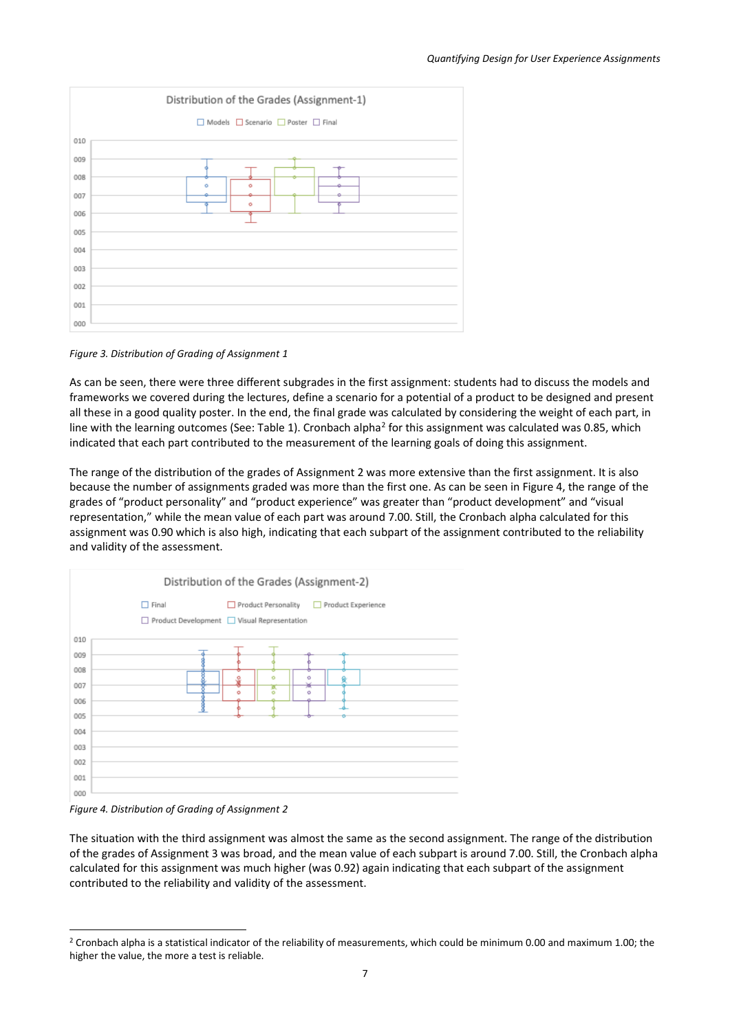

*Figure 3. Distribution of Grading of Assignment 1*

As can be seen, there were three different subgrades in the first assignment: students had to discuss the models and frameworks we covered during the lectures, define a scenario for a potential of a product to be designed and present all these in a good quality poster. In the end, the final grade was calculated by considering the weight of each part, in line with the learning outcomes (See: Table 1). Cronbach alpha<sup>2</sup> for this assignment was calculated was 0.85, which indicated that each part contributed to the measurement of the learning goals of doing this assignment.

The range of the distribution of the grades of Assignment 2 was more extensive than the first assignment. It is also because the number of assignments graded was more than the first one. As can be seen in Figure 4, the range of the grades of "product personality" and "product experience" was greater than "product development" and "visual representation," while the mean value of each part was around 7.00. Still, the Cronbach alpha calculated for this assignment was 0.90 which is also high, indicating that each subpart of the assignment contributed to the reliability and validity of the assessment.



*Figure 4. Distribution of Grading of Assignment 2*

l

The situation with the third assignment was almost the same as the second assignment. The range of the distribution of the grades of Assignment 3 was broad, and the mean value of each subpart is around 7.00. Still, the Cronbach alpha calculated for this assignment was much higher (was 0.92) again indicating that each subpart of the assignment contributed to the reliability and validity of the assessment.

<sup>&</sup>lt;sup>2</sup> Cronbach alpha is a statistical indicator of the reliability of measurements, which could be minimum 0.00 and maximum 1.00; the higher the value, the more a test is reliable.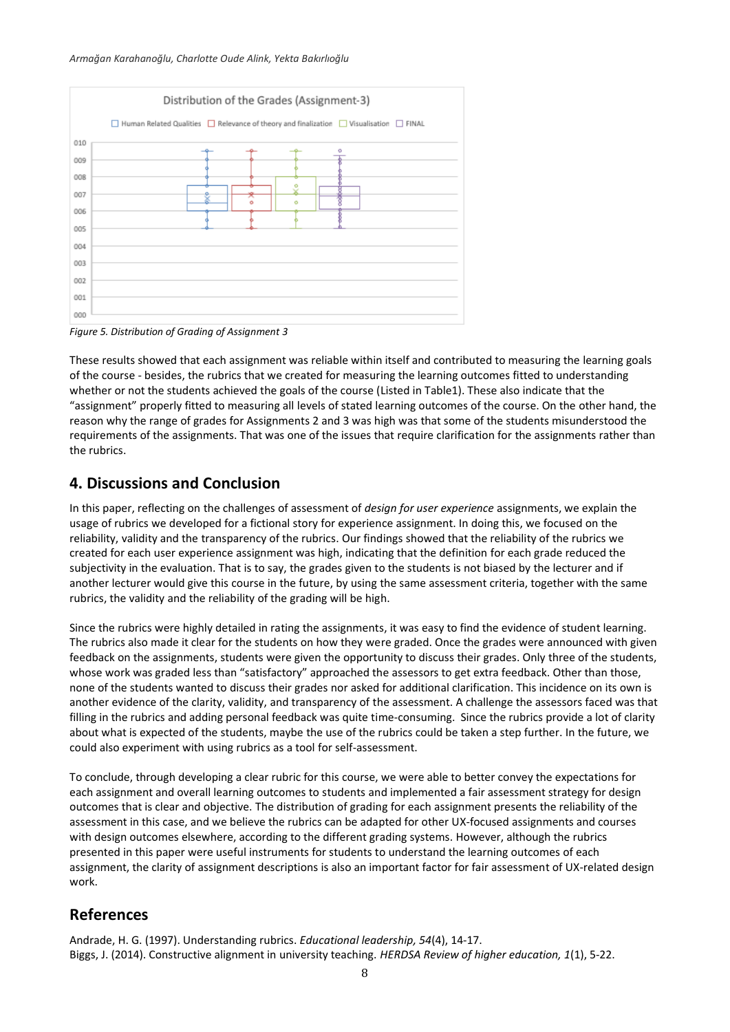#### *Armağan Karahanoğlu, Charlotte Oude Alink, Yekta Bakırlıoğlu*



*Figure 5. Distribution of Grading of Assignment 3*

These results showed that each assignment was reliable within itself and contributed to measuring the learning goals of the course - besides, the rubrics that we created for measuring the learning outcomes fitted to understanding whether or not the students achieved the goals of the course (Listed in Table1). These also indicate that the "assignment" properly fitted to measuring all levels of stated learning outcomes of the course. On the other hand, the reason why the range of grades for Assignments 2 and 3 was high was that some of the students misunderstood the requirements of the assignments. That was one of the issues that require clarification for the assignments rather than the rubrics.

# **4. Discussions and Conclusion**

In this paper, reflecting on the challenges of assessment of *design for user experience* assignments, we explain the usage of rubrics we developed for a fictional story for experience assignment. In doing this, we focused on the reliability, validity and the transparency of the rubrics. Our findings showed that the reliability of the rubrics we created for each user experience assignment was high, indicating that the definition for each grade reduced the subjectivity in the evaluation. That is to say, the grades given to the students is not biased by the lecturer and if another lecturer would give this course in the future, by using the same assessment criteria, together with the same rubrics, the validity and the reliability of the grading will be high.

Since the rubrics were highly detailed in rating the assignments, it was easy to find the evidence of student learning. The rubrics also made it clear for the students on how they were graded. Once the grades were announced with given feedback on the assignments, students were given the opportunity to discuss their grades. Only three of the students, whose work was graded less than "satisfactory" approached the assessors to get extra feedback. Other than those, none of the students wanted to discuss their grades nor asked for additional clarification. This incidence on its own is another evidence of the clarity, validity, and transparency of the assessment. A challenge the assessors faced was that filling in the rubrics and adding personal feedback was quite time-consuming. Since the rubrics provide a lot of clarity about what is expected of the students, maybe the use of the rubrics could be taken a step further. In the future, we could also experiment with using rubrics as a tool for self-assessment.

To conclude, through developing a clear rubric for this course, we were able to better convey the expectations for each assignment and overall learning outcomes to students and implemented a fair assessment strategy for design outcomes that is clear and objective. The distribution of grading for each assignment presents the reliability of the assessment in this case, and we believe the rubrics can be adapted for other UX-focused assignments and courses with design outcomes elsewhere, according to the different grading systems. However, although the rubrics presented in this paper were useful instruments for students to understand the learning outcomes of each assignment, the clarity of assignment descriptions is also an important factor for fair assessment of UX-related design work.

# **References**

Andrade, H. G. (1997). Understanding rubrics. *Educational leadership, 54*(4), 14-17. Biggs, J. (2014). Constructive alignment in university teaching. *HERDSA Review of higher education, 1*(1), 5-22.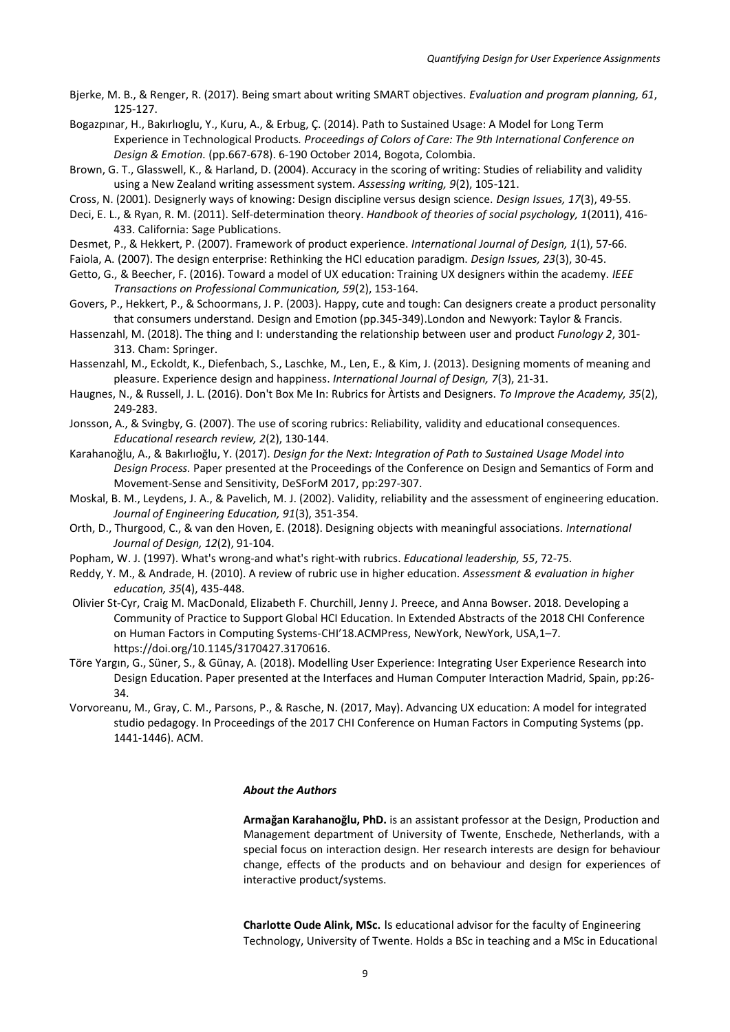Bjerke, M. B., & Renger, R. (2017). Being smart about writing SMART objectives. *Evaluation and program planning, 61*, 125-127.

Bogazpınar, H., Bakırlıoglu, Y., Kuru, A., & Erbug, Ç. (2014). Path to Sustained Usage: A Model for Long Term Experience in Technological Products*. Proceedings of Colors of Care: The 9th International Conference on Design & Emotion.* (pp.667-678). 6-190 October 2014, Bogota, Colombia.

Brown, G. T., Glasswell, K., & Harland, D. (2004). Accuracy in the scoring of writing: Studies of reliability and validity using a New Zealand writing assessment system. *Assessing writing, 9*(2), 105-121.

Cross, N. (2001). Designerly ways of knowing: Design discipline versus design science. *Design Issues, 17*(3), 49-55.

Deci, E. L., & Ryan, R. M. (2011). Self-determination theory. *Handbook of theories of social psychology, 1*(2011), 416- 433. California: Sage Publications.

Desmet, P., & Hekkert, P. (2007). Framework of product experience. *International Journal of Design, 1*(1), 57-66.

Faiola, A. (2007). The design enterprise: Rethinking the HCI education paradigm. *Design Issues, 23*(3), 30-45.

- Getto, G., & Beecher, F. (2016). Toward a model of UX education: Training UX designers within the academy. *IEEE Transactions on Professional Communication, 59*(2), 153-164.
- Govers, P., Hekkert, P., & Schoormans, J. P. (2003). Happy, cute and tough: Can designers create a product personality that consumers understand. Design and Emotion (pp.345-349).London and Newyork: Taylor & Francis.
- Hassenzahl, M. (2018). The thing and I: understanding the relationship between user and product *Funology 2*, 301- 313. Cham: Springer.
- Hassenzahl, M., Eckoldt, K., Diefenbach, S., Laschke, M., Len, E., & Kim, J. (2013). Designing moments of meaning and pleasure. Experience design and happiness. *International Journal of Design, 7*(3), 21-31.
- Haugnes, N., & Russell, J. L. (2016). Don't Box Me In: Rubrics for Àrtists and Designers. *To Improve the Academy, 35*(2), 249-283.
- Jonsson, A., & Svingby, G. (2007). The use of scoring rubrics: Reliability, validity and educational consequences. *Educational research review, 2*(2), 130-144.
- Karahanoğlu, A., & Bakırlıoğlu, Y. (2017). *Design for the Next: Integration of Path to Sustained Usage Model into Design Process.* Paper presented at the Proceedings of the Conference on Design and Semantics of Form and Movement-Sense and Sensitivity, DeSForM 2017, pp:297-307.
- Moskal, B. M., Leydens, J. A., & Pavelich, M. J. (2002). Validity, reliability and the assessment of engineering education. *Journal of Engineering Education, 91*(3), 351-354.
- Orth, D., Thurgood, C., & van den Hoven, E. (2018). Designing objects with meaningful associations. *International Journal of Design, 12*(2), 91-104.
- Popham, W. J. (1997). What's wrong-and what's right-with rubrics. *Educational leadership, 55*, 72-75.
- Reddy, Y. M., & Andrade, H. (2010). A review of rubric use in higher education. *Assessment & evaluation in higher education, 35*(4), 435-448.
- Olivier St-Cyr, Craig M. MacDonald, Elizabeth F. Churchill, Jenny J. Preece, and Anna Bowser. 2018. Developing a Community of Practice to Support Global HCI Education. In Extended Abstracts of the 2018 CHI Conference on Human Factors in Computing Systems-CHI'18.ACMPress, NewYork, NewYork, USA,1–7. https://doi.org/10.1145/3170427.3170616.
- Töre Yargın, G., Süner, S., & Günay, A. (2018). Modelling User Experience: Integrating User Experience Research into Design Education. Paper presented at the Interfaces and Human Computer Interaction Madrid, Spain, pp:26- 34.
- Vorvoreanu, M., Gray, C. M., Parsons, P., & Rasche, N. (2017, May). Advancing UX education: A model for integrated studio pedagogy. In Proceedings of the 2017 CHI Conference on Human Factors in Computing Systems (pp. 1441-1446). ACM.

#### *About the Authors*

**Armağan Karahanoğlu, PhD.** is an assistant professor at the Design, Production and Management department of University of Twente, Enschede, Netherlands, with a special focus on interaction design. Her research interests are design for behaviour change, effects of the products and on behaviour and design for experiences of interactive product/systems.

**Charlotte Oude Alink, MSc.** Is educational advisor for the faculty of Engineering Technology, University of Twente. Holds a BSc in teaching and a MSc in Educational